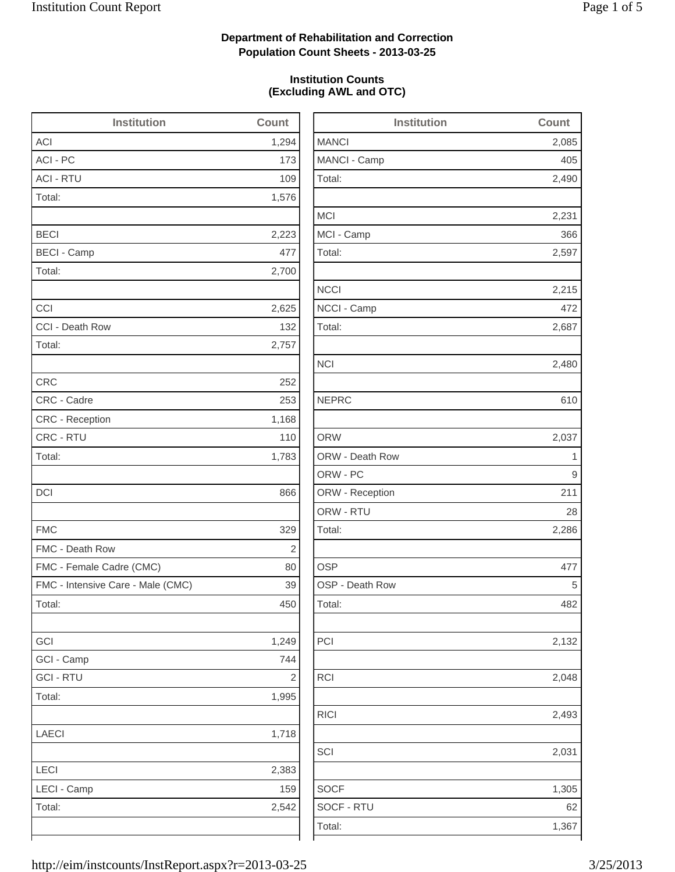2,490

2,231

2,215

2,480

2,286

2,132

2,048

2,493

2,031

1,305

### **Department of Rehabilitation and Correction Population Count Sheets - 2013-03-25**

### **Institution Counts (Excluding AWL and OTC)**

| <b>Institution</b>                | Count          | <b>Institution</b> | Count                   |
|-----------------------------------|----------------|--------------------|-------------------------|
| <b>ACI</b>                        | 1,294          | <b>MANCI</b>       | 2,085                   |
| ACI - PC                          | 173            | MANCI - Camp       | 405                     |
| <b>ACI - RTU</b>                  | 109            | Total:             | 2,490                   |
| Total:                            | 1,576          |                    |                         |
|                                   |                | <b>MCI</b>         | 2,231                   |
| <b>BECI</b>                       | 2,223          | MCI - Camp         | 366                     |
| <b>BECI - Camp</b>                | 477            | Total:             | 2,597                   |
| Total:                            | 2,700          |                    |                         |
|                                   |                | <b>NCCI</b>        | 2,215                   |
| CCI                               | 2,625          | NCCI - Camp        | 472                     |
| CCI - Death Row                   | 132            | Total:             | 2,687                   |
| Total:                            | 2,757          |                    |                         |
|                                   |                | <b>NCI</b>         | 2,480                   |
| <b>CRC</b>                        | 252            |                    |                         |
| CRC - Cadre                       | 253            | <b>NEPRC</b>       | 610                     |
| CRC - Reception                   | 1,168          |                    |                         |
| CRC - RTU                         | 110            | <b>ORW</b>         | 2,037                   |
| Total:                            | 1,783          | ORW - Death Row    | $\overline{\mathbf{1}}$ |
|                                   |                | ORW - PC           | 9                       |
| DCI                               | 866            | ORW - Reception    | 211                     |
|                                   |                | ORW - RTU          | 28                      |
| <b>FMC</b>                        | 329            | Total:             | 2,286                   |
| FMC - Death Row                   | $\overline{2}$ |                    |                         |
| FMC - Female Cadre (CMC)          | 80             | <b>OSP</b>         | 477                     |
| FMC - Intensive Care - Male (CMC) | 39             | OSP - Death Row    | 5                       |
| Total:                            | 450            | Total:             | 482                     |
| GCI                               | 1,249          | PCI                | 2,132                   |
| GCI - Camp                        | 744            |                    |                         |
| <b>GCI-RTU</b>                    | $\sqrt{2}$     | RCI                | 2,048                   |
| Total:                            | 1,995          |                    |                         |
|                                   |                | <b>RICI</b>        | 2,493                   |
| LAECI                             | 1,718          |                    |                         |
|                                   |                | SCI                | 2,031                   |
| LECI                              | 2,383          |                    |                         |
| LECI - Camp                       | 159            | <b>SOCF</b>        | 1,305                   |
| Total:                            | 2,542          | SOCF - RTU         | 62                      |
|                                   |                | Total:             | 1,367                   |
|                                   |                |                    |                         |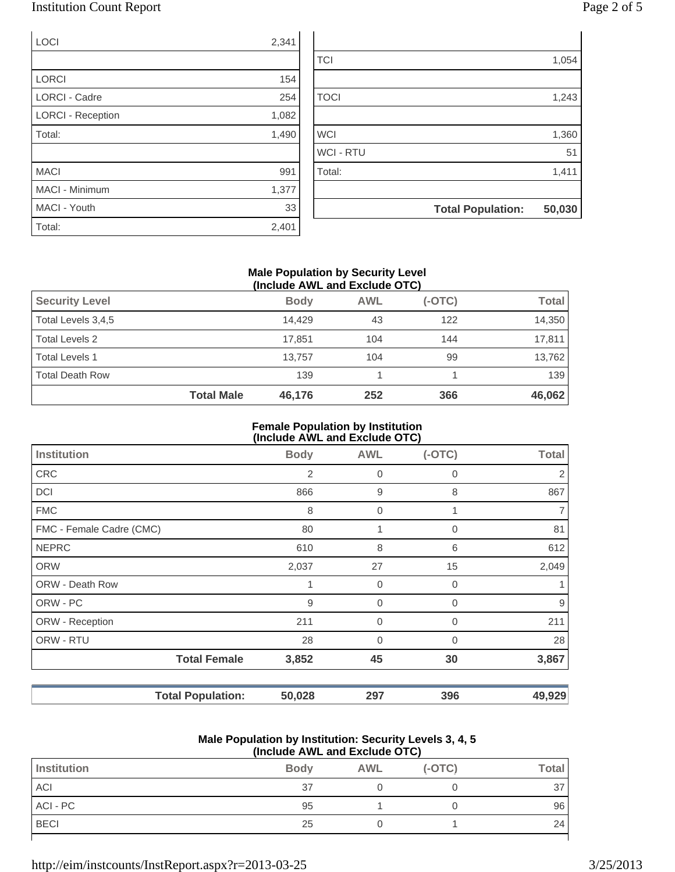### Institution Count Report

| ר age 2 of |  |  |
|------------|--|--|
|            |  |  |

| LOCI                     | 2,341 |                  |                          |        |
|--------------------------|-------|------------------|--------------------------|--------|
|                          |       | <b>TCI</b>       |                          | 1,054  |
| <b>LORCI</b>             | 154   |                  |                          |        |
| <b>LORCI - Cadre</b>     | 254   | <b>TOCI</b>      |                          | 1,243  |
| <b>LORCI - Reception</b> | 1,082 |                  |                          |        |
| Total:                   | 1,490 | <b>WCI</b>       |                          | 1,360  |
|                          |       | <b>WCI - RTU</b> |                          | 51     |
| <b>MACI</b>              | 991   | Total:           |                          | 1,411  |
| MACI - Minimum           | 1,377 |                  |                          |        |
| MACI - Youth             | 33    |                  | <b>Total Population:</b> | 50,030 |
| Total:                   | 2,401 |                  |                          |        |

### **Male Population by Security Level (Include AWL and Exclude OTC)**

| <b>Security Level</b>  |                   | <b>Body</b> | <b>AWL</b> | $(-OTC)$ | <b>Total</b> |
|------------------------|-------------------|-------------|------------|----------|--------------|
| Total Levels 3,4,5     |                   | 14.429      | 43         | 122      | 14,350       |
| <b>Total Levels 2</b>  |                   | 17.851      | 104        | 144      | 17,811       |
| <b>Total Levels 1</b>  |                   | 13.757      | 104        | 99       | 13,762       |
| <b>Total Death Row</b> |                   | 139         |            |          | 139          |
|                        | <b>Total Male</b> | 46,176      | 252        | 366      | 46,062       |

#### **Female Population by Institution (Include AWL and Exclude OTC)**

|                          | $\mu$ , $\mu$ , $\mu$ , $\mu$ , $\mu$ , $\mu$ , $\mu$ , $\mu$ , $\mu$ , $\mu$ , $\mu$ , $\mu$ |                |                |             |                |  |
|--------------------------|-----------------------------------------------------------------------------------------------|----------------|----------------|-------------|----------------|--|
| <b>Institution</b>       |                                                                                               | <b>Body</b>    | <b>AWL</b>     | $(-OTC)$    | <b>Total</b>   |  |
| <b>CRC</b>               |                                                                                               | $\overline{2}$ | 0              | 0           | 2              |  |
| <b>DCI</b>               |                                                                                               | 866            | 9              | 8           | 867            |  |
| <b>FMC</b>               |                                                                                               | 8              | 0              |             | $\overline{7}$ |  |
| FMC - Female Cadre (CMC) |                                                                                               | 80             | 1              | 0           | 81             |  |
| <b>NEPRC</b>             |                                                                                               | 610            | 8              | 6           | 612            |  |
| <b>ORW</b>               |                                                                                               | 2,037          | 27             | 15          | 2,049          |  |
| <b>ORW - Death Row</b>   |                                                                                               | 1              | $\mathbf 0$    | $\mathbf 0$ |                |  |
| ORW - PC                 |                                                                                               | 9              | $\overline{0}$ | $\Omega$    | 9              |  |
| ORW - Reception          |                                                                                               | 211            | 0              | $\Omega$    | 211            |  |
| ORW - RTU                |                                                                                               | 28             | 0              | $\mathbf 0$ | 28             |  |
|                          | <b>Total Female</b>                                                                           | 3,852          | 45             | 30          | 3,867          |  |
|                          | <b>Total Population:</b>                                                                      | 50,028         | 297            | 396         | 49,929         |  |

#### **Male Population by Institution: Security Levels 3, 4, 5 (Include AWL and Exclude OTC)**

| \!!!V!WWV / \\! = u!!W = ^\V!WWV V ! V / |             |            |          |              |
|------------------------------------------|-------------|------------|----------|--------------|
| Institution                              | <b>Body</b> | <b>AWL</b> | $(-OTC)$ | <b>Total</b> |
| <b>ACI</b>                               | 37          |            |          | 37           |
| ACI - PC                                 | 95          |            |          | 96           |
| <b>BECI</b>                              | 25          |            |          | 24           |
|                                          |             |            |          |              |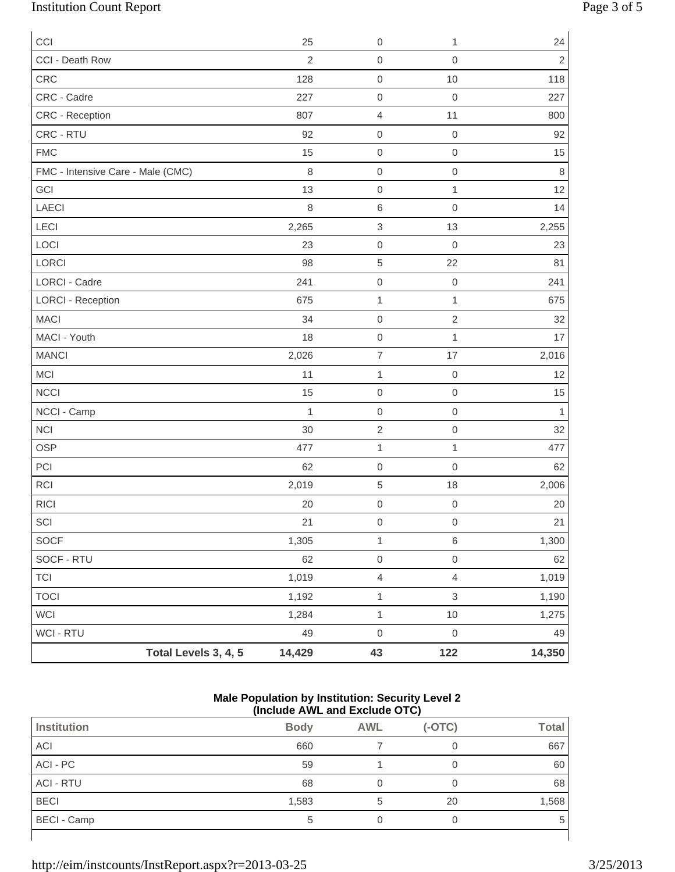# Institution Count Report Page 3 of 5

| CCI                               |                      | 25             | $\mathbf 0$               | 1                   | 24             |
|-----------------------------------|----------------------|----------------|---------------------------|---------------------|----------------|
| CCI - Death Row                   |                      | $\overline{2}$ | $\mathbf 0$               | $\mathbf 0$         | $\overline{2}$ |
| CRC                               |                      | 128            | $\mbox{O}$                | 10                  | 118            |
| CRC - Cadre                       |                      | 227            | $\mathbf 0$               | $\mathbf 0$         | 227            |
| CRC - Reception                   |                      | 807            | $\overline{4}$            | 11                  | 800            |
| CRC - RTU                         |                      | 92             | $\mathbf 0$               | $\mathbf 0$         | 92             |
| <b>FMC</b>                        |                      | 15             | $\mathbf 0$               | $\mathsf{O}\xspace$ | 15             |
| FMC - Intensive Care - Male (CMC) |                      | $\,8\,$        | $\mathbf 0$               | $\mathbf 0$         | $\,8\,$        |
| GCI                               |                      | 13             | $\mathbf 0$               | $\mathbf{1}$        | 12             |
| LAECI                             |                      | 8              | $\,6$                     | $\mathbf 0$         | 14             |
| LECI                              |                      | 2,265          | $\ensuremath{\mathsf{3}}$ | 13                  | 2,255          |
| LOCI                              |                      | 23             | $\mathbf 0$               | $\mathbf 0$         | 23             |
| LORCI                             |                      | 98             | $\,$ 5 $\,$               | 22                  | 81             |
| LORCI - Cadre                     |                      | 241            | $\mathbf 0$               | $\mathbf 0$         | 241            |
| <b>LORCI - Reception</b>          |                      | 675            | $\mathbf{1}$              | $\mathbf{1}$        | 675            |
| <b>MACI</b>                       |                      | 34             | $\mathbf 0$               | $\sqrt{2}$          | 32             |
| MACI - Youth                      |                      | 18             | $\mbox{O}$                | $\mathbf{1}$        | 17             |
| <b>MANCI</b>                      |                      | 2,026          | $\overline{\mathcal{I}}$  | 17                  | 2,016          |
| <b>MCI</b>                        |                      | 11             | $\mathbf{1}$              | $\mathbf 0$         | 12             |
| <b>NCCI</b>                       |                      | 15             | $\mathbf 0$               | $\mathbf 0$         | 15             |
| NCCI - Camp                       |                      | 1              | $\mathbf 0$               | $\mathbf 0$         | $\mathbf{1}$   |
| <b>NCI</b>                        |                      | 30             | $\sqrt{2}$                | $\mathsf{O}\xspace$ | 32             |
| <b>OSP</b>                        |                      | 477            | $\mathbf 1$               | $\mathbf{1}$        | 477            |
| PCI                               |                      | 62             | $\mathbf 0$               | $\mathbf 0$         | 62             |
| <b>RCI</b>                        |                      | 2,019          | $\sqrt{5}$                | 18                  | 2,006          |
| <b>RICI</b>                       |                      | 20             | $\mathbf 0$               | $\mathbf 0$         | 20             |
| $\ensuremath{\mathsf{SCI}}$       |                      | 21             | $\mathsf{O}\xspace$       | $\mathsf{O}\xspace$ | 21             |
| SOCF                              |                      | 1,305          | $\mathbf{1}$              | 6                   | 1,300          |
| SOCF - RTU                        |                      | 62             | $\mathsf{O}\xspace$       | $\mathsf{O}\xspace$ | 62             |
| <b>TCI</b>                        |                      | 1,019          | $\overline{4}$            | $\overline{4}$      | 1,019          |
| <b>TOCI</b>                       |                      | 1,192          | $\mathbf{1}$              | $\,$ 3 $\,$         | 1,190          |
| <b>WCI</b>                        |                      | 1,284          | $\mathbf{1}$              | $10$                | 1,275          |
| WCI - RTU                         |                      | 49             | $\mathbf 0$               | $\mathsf{O}\xspace$ | 49             |
|                                   | Total Levels 3, 4, 5 | 14,429         | 43                        | 122                 | 14,350         |

#### **Male Population by Institution: Security Level 2 (Include AWL and Exclude OTC)**

| Institution        | <b>Body</b> | <b>AWL</b> | $(-OTC)$ | <b>Total</b> |
|--------------------|-------------|------------|----------|--------------|
| ACI                | 660         |            |          | 667          |
| ACI - PC           | 59          |            |          | 60           |
| <b>ACI - RTU</b>   | 68          |            |          | 68           |
| <b>BECI</b>        | 1,583       | 5          | 20       | 1,568        |
| <b>BECI - Camp</b> | 5           |            |          | 5            |
|                    |             |            |          |              |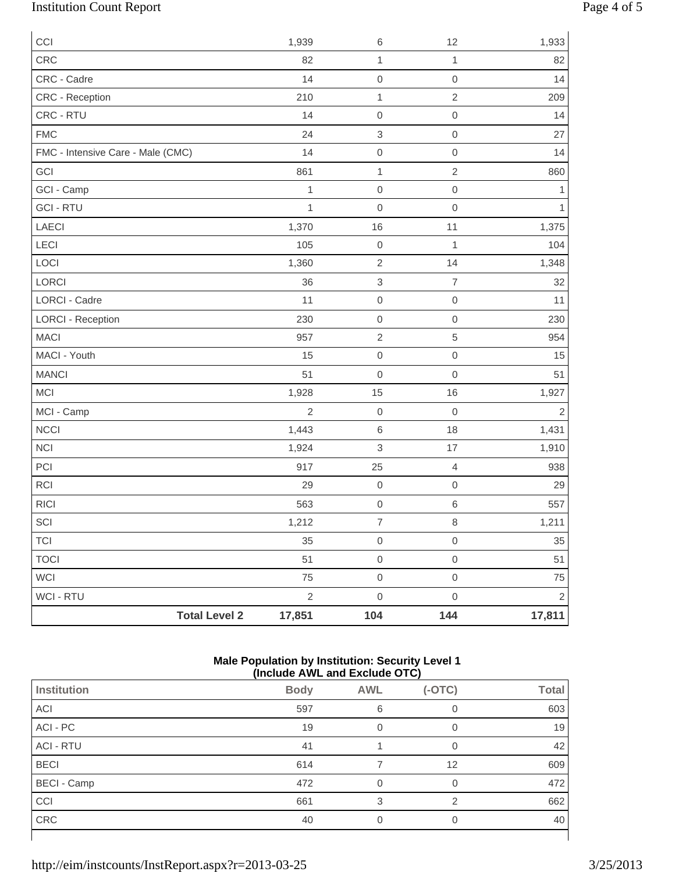# Institution Count Report Page 4 of 5

| CCI                               | 1,939          | 6                   | 12               | 1,933          |
|-----------------------------------|----------------|---------------------|------------------|----------------|
| CRC                               | 82             | $\mathbf{1}$        | $\mathbf{1}$     | 82             |
| CRC - Cadre                       | 14             | $\mathsf{O}\xspace$ | $\boldsymbol{0}$ | 14             |
| CRC - Reception                   | 210            | $\mathbf{1}$        | $\sqrt{2}$       | 209            |
| CRC - RTU                         | 14             | $\mathbf 0$         | $\boldsymbol{0}$ | 14             |
| <b>FMC</b>                        | 24             | $\,$ 3 $\,$         | $\boldsymbol{0}$ | 27             |
| FMC - Intensive Care - Male (CMC) | 14             | $\mathbf 0$         | $\mathbf 0$      | 14             |
| GCI                               | 861            | $\mathbf{1}$        | $\sqrt{2}$       | 860            |
| GCI - Camp                        | $\mathbf 1$    | $\mathbf 0$         | $\boldsymbol{0}$ | 1              |
| <b>GCI - RTU</b>                  | 1              | $\mathbf 0$         | $\boldsymbol{0}$ | $\mathbf{1}$   |
| LAECI                             | 1,370          | 16                  | 11               | 1,375          |
| LECI                              | 105            | $\mathsf{O}\xspace$ | 1                | 104            |
| LOCI                              | 1,360          | $\overline{2}$      | 14               | 1,348          |
| LORCI                             | 36             | $\,$ 3 $\,$         | $\overline{7}$   | 32             |
| <b>LORCI - Cadre</b>              | 11             | $\mathsf{O}\xspace$ | $\boldsymbol{0}$ | 11             |
| <b>LORCI - Reception</b>          | 230            | $\mathsf{O}\xspace$ | $\boldsymbol{0}$ | 230            |
| <b>MACI</b>                       | 957            | $\sqrt{2}$          | 5                | 954            |
| MACI - Youth                      | 15             | $\mathsf{O}\xspace$ | $\mathbf 0$      | 15             |
| <b>MANCI</b>                      | 51             | $\mbox{O}$          | $\mathbf 0$      | 51             |
| MCI                               | 1,928          | 15                  | 16               | 1,927          |
| MCI - Camp                        | $\overline{2}$ | $\mathsf{O}\xspace$ | $\boldsymbol{0}$ | $\overline{2}$ |
| <b>NCCI</b>                       | 1,443          | $\,6$               | 18               | 1,431          |
| <b>NCI</b>                        | 1,924          | $\,$ 3 $\,$         | 17               | 1,910          |
| PCI                               | 917            | 25                  | $\overline{4}$   | 938            |
| RCI                               | 29             | $\mathsf{O}\xspace$ | $\boldsymbol{0}$ | 29             |
| <b>RICI</b>                       | 563            | $\mathsf{O}\xspace$ | $\,6\,$          | 557            |
| $\ensuremath{\mathsf{SCI}}$       | 1,212          | $\overline{7}$      | $\,8\,$          | 1,211          |
| <b>TCI</b>                        | 35             | $\boldsymbol{0}$    | $\mathbf 0$      | 35             |
| <b>TOCI</b>                       | 51             | $\mathbf 0$         | $\mathbf 0$      | 51             |
| WCI                               | 75             | $\mathsf{O}\xspace$ | $\mathbf 0$      | 75             |
| WCI - RTU                         | $\sqrt{2}$     | $\mathsf{O}\xspace$ | $\mathbf 0$      | $\overline{2}$ |
| <b>Total Level 2</b>              | 17,851         | 104                 | 144              | 17,811         |

#### **Male Population by Institution: Security Level 1 (Include AWL and Exclude OTC)**

|                    | .           |            | .        |              |
|--------------------|-------------|------------|----------|--------------|
| <b>Institution</b> | <b>Body</b> | <b>AWL</b> | $(-OTC)$ | <b>Total</b> |
| ACI                | 597         | 6          | 0        | 603          |
| ACI - PC           | 19          |            | 0        | 19           |
| <b>ACI - RTU</b>   | 41          |            | 0        | 42           |
| <b>BECI</b>        | 614         |            | 12       | 609          |
| <b>BECI - Camp</b> | 472         | $\Omega$   | 0        | 472          |
| CCI                | 661         | 3          | 2        | 662          |
| CRC                | 40          |            | 0        | 40           |
|                    |             |            |          |              |